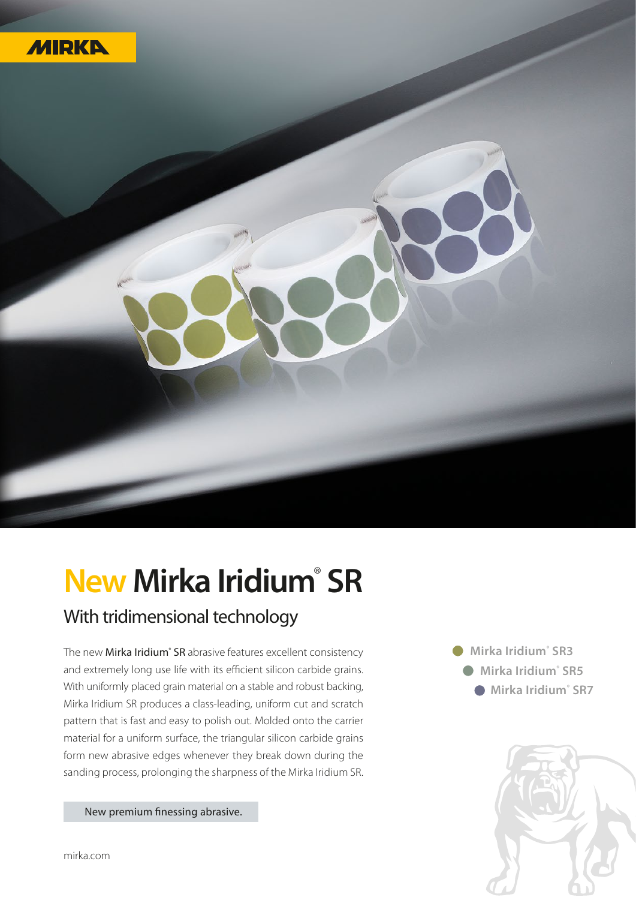

## **New Mirka Iridium**®  **SR** With tridimensional technology

The new Mirka Iridium<sup>®</sup> SR abrasive features excellent consistency and extremely long use life with its efficient silicon carbide grains. With uniformly placed grain material on a stable and robust backing, Mirka Iridium SR produces a class-leading, uniform cut and scratch pattern that is fast and easy to polish out. Molded onto the carrier material for a uniform surface, the triangular silicon carbide grains form new abrasive edges whenever they break down during the sanding process, prolonging the sharpness of the Mirka Iridium SR.

New premium finessing abrasive.

 **Mirka Iridium**®  **SR3 Mirka Iridium**®  **SR5 Mirka Iridium**®  **SR7**